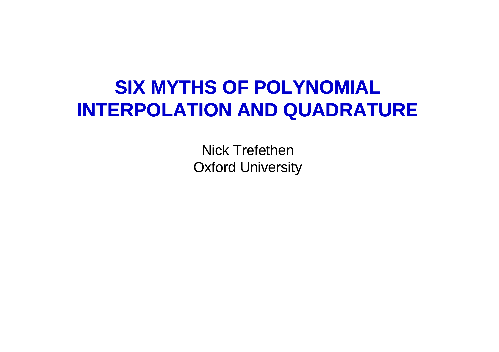## **SIX MYTHS OF POLYNOMIAL INTERPOLATION AND QUADRATURE**

Nick Trefethen Oxford University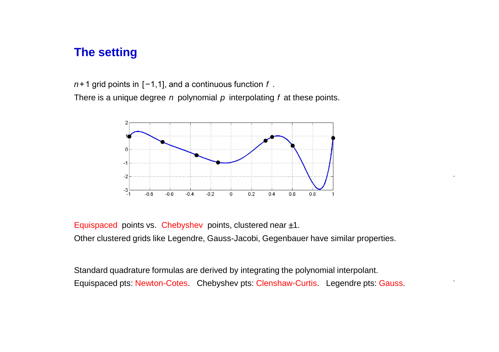### **The setting**

*n*+1 grid points in [−1,1], and a continuous function *f* .

There is a unique degree *n* polynomial *p* interpolating *f* at these points.



.

.

Equispaced points vs. Chebyshev points, clustered near  $\pm 1$ . Other clustered grids like Legendre, Gauss-Jacobi, Gegenbauer have similar properties.

Standard quadrature formulas are derived by integrating the polynomial interpolant. Equispaced pts: Newton-Cotes. Chebyshev pts: Clenshaw-Curtis. Legendre pts: Gauss.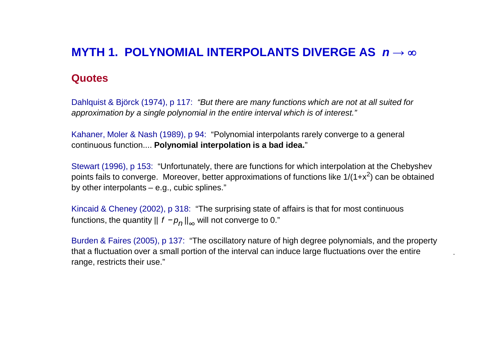## **MYTH 1. POLYNOMIAL INTERPOLANTS DIVERGE AS** *n* **→**

#### **Quotes**

Dahlquist & Björck (1974), p 117: *"But there are many functions which are not at all suited for approximation by a single polynomial in the entire interval which is of interest."*

Kahaner, Moler & Nash (1989), p 94: "Polynomial interpolants rarely converge to a general continuous function.... **Polynomial interpolation is a bad idea.**"

Stewart (1996), p 153: "Unfortunately, there are functions for which interpolation at the Chebyshev points fails to converge. Moreover, better approximations of functions like 1/(1+x<sup>2</sup>) can be obtained by other interpolants – e.g., cubic splines."

Kincaid & Cheney (2002), p 318: "The surprising state of affairs is that for most continuous functions, the quantity || *f* −*p<sup>n</sup>* ||∞ will not converge to 0."

Burden & Faires (2005), p 137: "The oscillatory nature of high degree polynomials, and the property that a fluctuation over a small portion of the interval can induce large fluctuations over the entire range, restricts their use."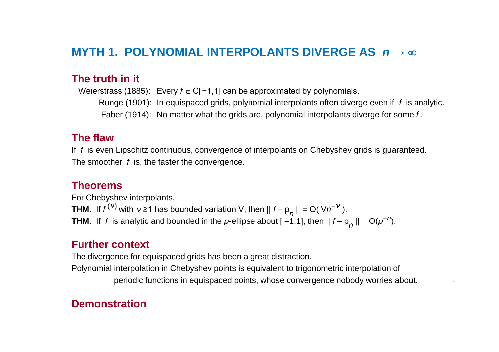## **MYTH 1. POLYNOMIAL INTERPOLANTS DIVERGE AS** *n* **→**

#### **The truth in it**

Weierstrass (1885): Every *f* ∈ C[−1,1] can be approximated by polynomials.

Runge (1901): In equispaced grids, polynomial interpolants often diverge even if *f* is analytic.

Faber (1914): No matter what the grids are, polynomial interpolants diverge for some *f* .

#### **The flaw**

If *f* is even Lipschitz continuous, convergence of interpolants on Chebyshev grids is guaranteed. The smoother *f* is, the faster the convergence.

#### **Theorems**

For Chebyshev interpolants, **THM**. If  $f^{(\nu)}$  with  $\nu \ge 1$  has bounded variation V, then  $|| f - p_{n} || = O(|Vn^{-\nu}|)$ . **THM**. If *f* is analytic and bounded in the *ρ*-ellipse about  $[-1,1]$ , then  $|| f - p_n || = O(\rho^{-n})$ .

#### **Further context**

The divergence for equispaced grids has been a great distraction.

Polynomial interpolation in Chebyshev points is equivalent to trigonometric interpolation of periodic functions in equispaced points, whose convergence nobody worries about.

.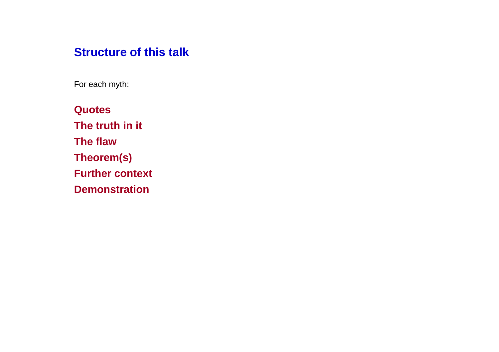## **Structure of this talk**

For each myth:

**Quotes The truth in it The flaw Theorem(s) Further context Demonstration**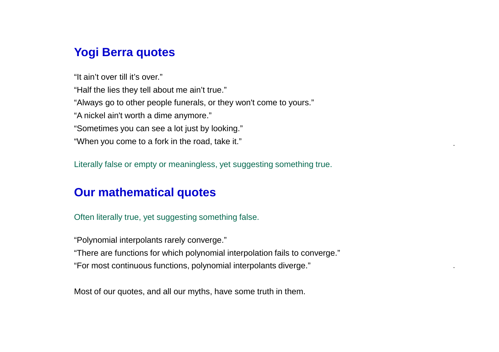## **Yogi Berra quotes**

"It ain't over till it's over."

"Half the lies they tell about me ain't true."

"Always go to other people funerals, or they won't come to yours."

"A nickel ain't worth a dime anymore."

"Sometimes you can see a lot just by looking."

"When you come to a fork in the road, take it."

Literally false or empty or meaningless, yet suggesting something true.

.

.

## **Our mathematical quotes**

Often literally true, yet suggesting something false.

"Polynomial interpolants rarely converge."

"There are functions for which polynomial interpolation fails to converge."

"For most continuous functions, polynomial interpolants diverge."

Most of our quotes, and all our myths, have some truth in them.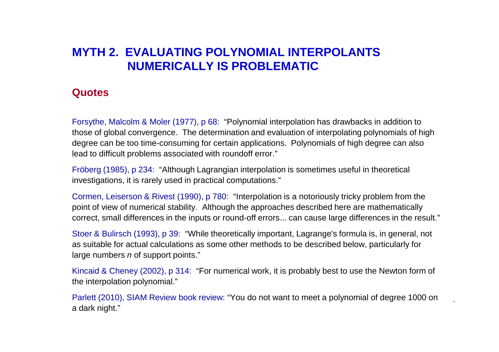## **MYTH 2. EVALUATING POLYNOMIAL INTERPOLANTS NUMERICALLY IS PROBLEMATIC**

#### **Quotes**

Forsythe, Malcolm & Moler (1977), p 68: "Polynomial interpolation has drawbacks in addition to those of global convergence. The determination and evaluation of interpolating polynomials of high degree can be too time-consuming for certain applications. Polynomials of high degree can also lead to difficult problems associated with roundoff error."

Fröberg (1985), p 234: "Although Lagrangian interpolation is sometimes useful in theoretical investigations, it is rarely used in practical computations."

Cormen, Leiserson & Rivest (1990), p 780: "Interpolation is a notoriously tricky problem from the point of view of numerical stability. Although the approaches described here are mathematically correct, small differences in the inputs or round-off errors... can cause large differences in the result."

Stoer & Bulirsch (1993), p 39: "While theoretically important, Lagrange's formula is, in general, not as suitable for actual calculations as some other methods to be described below, particularly for large numbers *n* of support points."

Kincaid & Cheney (2002), p 314: "For numerical work, it is probably best to use the Newton form of the interpolation polynomial."

Parlett (2010), SIAM Review book review: "You do not want to meet a polynomial of degree 1000 on a dark night."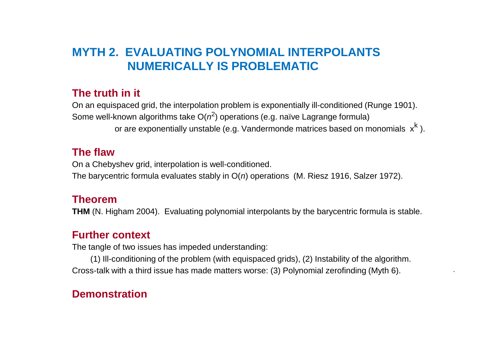## **MYTH 2. EVALUATING POLYNOMIAL INTERPOLANTS NUMERICALLY IS PROBLEMATIC**

#### **The truth in it**

On an equispaced grid, the interpolation problem is exponentially ill-conditioned (Runge 1901). Some well-known algorithms take  $O(n^2)$  operations (e.g. naïve Lagrange formula) or are exponentially unstable (e.g. Vandermonde matrices based on monomials  $\ \mathsf{x}^\mathsf{k}$  ).

#### **The flaw**

On a Chebyshev grid, interpolation is well-conditioned. The barycentric formula evaluates stably in O(*n*) operations (M. Riesz 1916, Salzer 1972).

#### **Theorem**

**THM** (N. Higham 2004). Evaluating polynomial interpolants by the barycentric formula is stable.

#### **Further context**

The tangle of two issues has impeded understanding:

(1) Ill-conditioning of the problem (with equispaced grids), (2) Instability of the algorithm. Cross-talk with a third issue has made matters worse: (3) Polynomial zerofinding (Myth 6).

.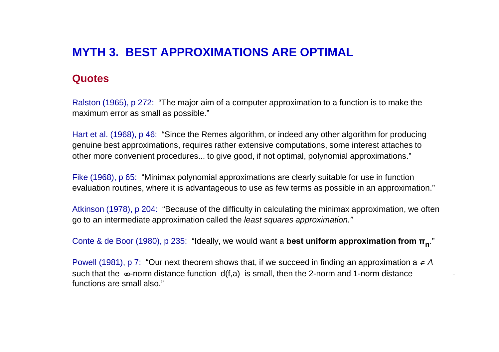## **MYTH 3. BEST APPROXIMATIONS ARE OPTIMAL**

#### **Quotes**

Ralston (1965), p 272: "The major aim of a computer approximation to a function is to make the maximum error as small as possible."

Hart et al. (1968), p 46: "Since the Remes algorithm, or indeed any other algorithm for producing genuine best approximations, requires rather extensive computations, some interest attaches to other more convenient procedures... to give good, if not optimal, polynomial approximations."

Fike (1968), p 65: "Minimax polynomial approximations are clearly suitable for use in function evaluation routines, where it is advantageous to use as few terms as possible in an approximation."

Atkinson (1978), p 204: "Because of the difficulty in calculating the minimax approximation, we often go to an intermediate approximation called the *least squares approximation."*

Conte & de Boor (1980), p 235: "Ideally, we would want a **best uniform approximation from π<sup>n</sup>** ."

Powell (1981), p 7: "Our next theorem shows that, if we succeed in finding an approximation  $a \in A$ such that the  $\infty$ -norm distance function  $d(f, a)$  is small, then the 2-norm and 1-norm distance functions are small also."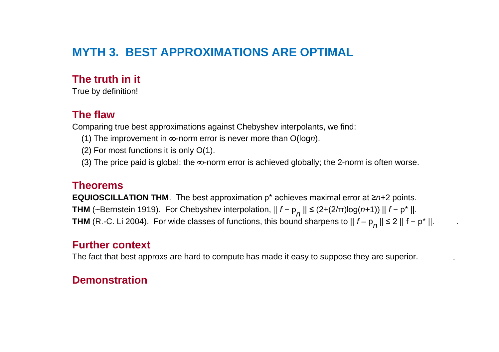## **MYTH 3. BEST APPROXIMATIONS ARE OPTIMAL**

#### **The truth in it**

True by definition!

#### **The flaw**

Comparing true best approximations against Chebyshev interpolants, we find:

- (1) The improvement in  $\infty$ -norm error is never more than  $O(logn)$ .
- (2) For most functions it is only O(1).
- (3) The price paid is global: the  $\infty$ -norm error is achieved globally; the 2-norm is often worse.

#### **Theorems**

**EQUIOSCILLATION THM**. The best approximation p\* achieves maximal error at ≥*n*+2 points. **THM** (~Bernstein 1919). For Chebyshev interpolation, || *f* − p *n* || ≤ (2+(2/π)log(*n*+1)) || *f* − p\* ||. **THM** (R.-C. Li 2004). For wide classes of functions, this bound sharpens to  $|| f − p_n || ≤ 2 || f − p<sup>*</sup> ||.$ 

.

.

#### **Further context**

The fact that best approxs are hard to compute has made it easy to suppose they are superior.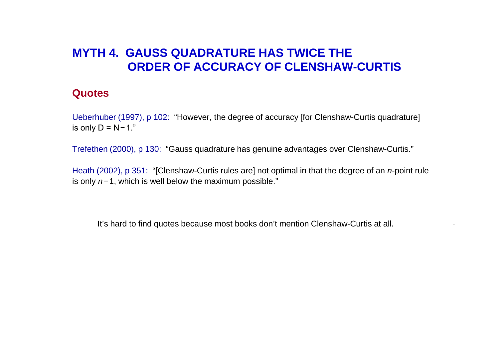## **MYTH 4. GAUSS QUADRATURE HAS TWICE THE ORDER OF ACCURACY OF CLENSHAW-CURTIS**

#### **Quotes**

Ueberhuber (1997), p 102: "However, the degree of accuracy [for Clenshaw-Curtis quadrature] is only D = N−1."

Trefethen (2000), p 130: "Gauss quadrature has genuine advantages over Clenshaw-Curtis."

Heath (2002), p 351: "[Clenshaw-Curtis rules are] not optimal in that the degree of an *n*-point rule is only *n−*1, which is well below the maximum possible."

It's hard to find quotes because most books don't mention Clenshaw-Curtis at all.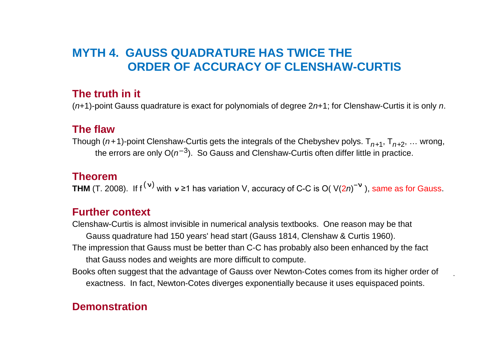## **MYTH 4. GAUSS QUADRATURE HAS TWICE THE ORDER OF ACCURACY OF CLENSHAW-CURTIS**

#### **The truth in it**

(*n*+1)-point Gauss quadrature is exact for polynomials of degree 2*n*+1; for Clenshaw-Curtis it is only *n*.

#### **The flaw**

Though (*n+*1)-point Clenshaw-Curtis gets the integrals of the Chebyshev polys. T*n*+1, T*n*+2, … wrong, the errors are only  $O(n^{-3})$ . So Gauss and Clenshaw-Curtis often differ little in practice.

#### **Theorem**

**THM** (T. 2008). If f (**ν**) with *<sup>ν</sup>* ≥1 has variation V, accuracy of C-C is O( V(2*n*) −**ν** ), same as for Gauss.

#### **Further context**

Clenshaw-Curtis is almost invisible in numerical analysis textbooks. One reason may be that Gauss quadrature had 150 years' head start (Gauss 1814, Clenshaw & Curtis 1960). The impression that Gauss must be better than C-C has probably also been enhanced by the fact that Gauss nodes and weights are more difficult to compute.

Books often suggest that the advantage of Gauss over Newton-Cotes comes from its higher order of exactness. In fact, Newton-Cotes diverges exponentially because it uses equispaced points.

.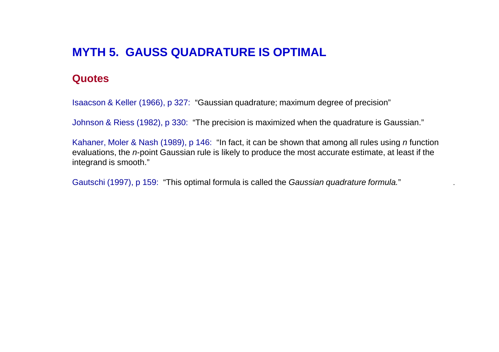## **MYTH 5. GAUSS QUADRATURE IS OPTIMAL**

#### **Quotes**

Isaacson & Keller (1966), p 327: "Gaussian quadrature; maximum degree of precision"

Johnson & Riess (1982), p 330: "The precision is maximized when the quadrature is Gaussian."

Kahaner, Moler & Nash (1989), p 146: "In fact, it can be shown that among all rules using *n* function evaluations, the *n*-point Gaussian rule is likely to produce the most accurate estimate, at least if the integrand is smooth."

Gautschi (1997), p 159: "This optimal formula is called the *Gaussian quadrature formula.*" .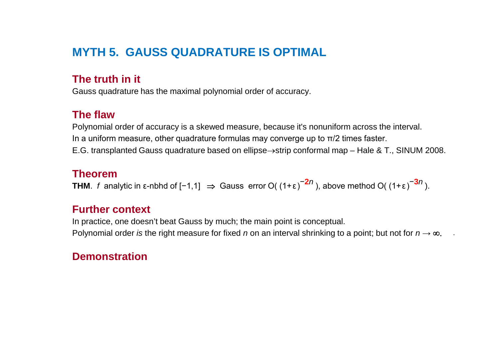## **MYTH 5. GAUSS QUADRATURE IS OPTIMAL**

#### **The truth in it**

Gauss quadrature has the maximal polynomial order of accuracy.

#### **The flaw**

Polynomial order of accuracy is a skewed measure, because it's nonuniform across the interval. In a uniform measure, other quadrature formulas may converge up to  $\pi/2$  times faster. E.G. transplanted Gauss quadrature based on ellipse $\rightarrow$ strip conformal map – Hale & T., SINUM 2008.

#### **Theorem**

**THM**. *f* analytic in ε-nbhd of [−1,1]  $\Rightarrow$  Gauss error O( (1+ε)<sup>-2*n*</sup>), above method O( (1+ε)<sup>-3*n*</sup>).

#### **Further context**

In practice, one doesn't beat Gauss by much; the main point is conceptual. Polynomial order *is* the right measure for fixed *n* on an interval shrinking to a point; but not for  $n \to \infty$ .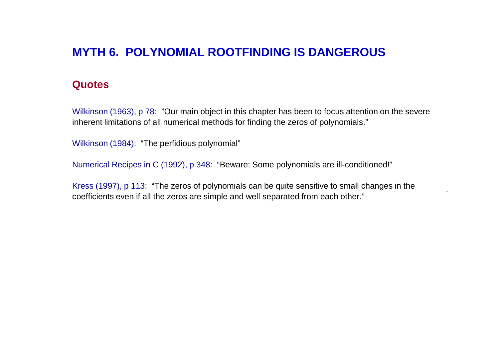## **MYTH 6. POLYNOMIAL ROOTFINDING IS DANGEROUS**

#### **Quotes**

Wilkinson (1963), p 78: "Our main object in this chapter has been to focus attention on the severe inherent limitations of all numerical methods for finding the zeros of polynomials."

Wilkinson (1984): "The perfidious polynomial"

Numerical Recipes in C (1992), p 348: "Beware: Some polynomials are ill-conditioned!"

Kress (1997), p 113: "The zeros of polynomials can be quite sensitive to small changes in the coefficients even if all the zeros are simple and well separated from each other."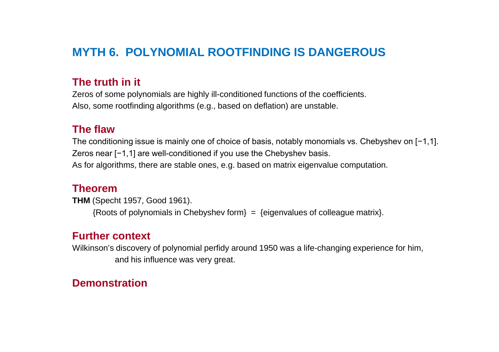## **MYTH 6. POLYNOMIAL ROOTFINDING IS DANGEROUS**

#### **The truth in it**

Zeros of some polynomials are highly ill-conditioned functions of the coefficients. Also, some rootfinding algorithms (e.g., based on deflation) are unstable.

#### **The flaw**

The conditioning issue is mainly one of choice of basis, notably monomials vs. Chebyshev on [−1,1]. Zeros near [−1,1] are well-conditioned if you use the Chebyshev basis. As for algorithms, there are stable ones, e.g. based on matrix eigenvalue computation.

#### **Theorem**

**THM** (Specht 1957, Good 1961).  ${Roots of polynomials in Chebyshev form} = {eigenvalues of colleague matrix}.$ 

#### **Further context**

Wilkinson's discovery of polynomial perfidy around 1950 was a life-changing experience for him, and his influence was very great.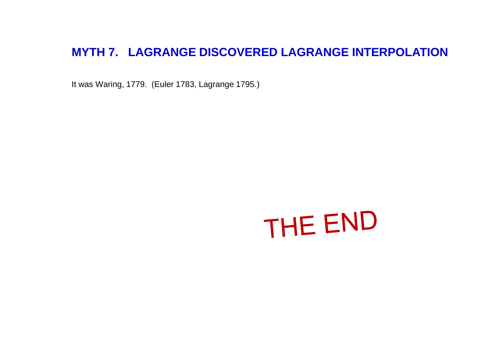## **MYTH 7. LAGRANGE DISCOVERED LAGRANGE INTERPOLATION**

It was Waring, 1779. (Euler 1783, Lagrange 1795.)

# THE END